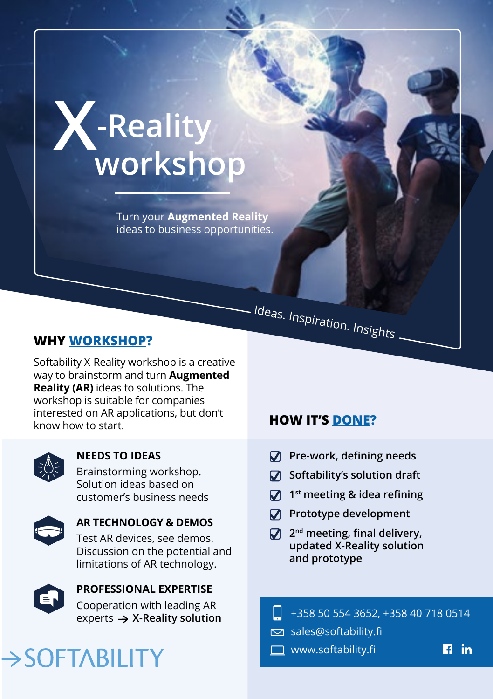# **X-Reality workshop**

Turn your **Augmented Reality** ideas to business opportunities.

### **WHY WORKSHOP?**

Softability X-Reality workshop is a creative way to brainstorm and turn **Augmented Reality (AR)** ideas to solutions. The workshop is suitable for companies interested on AR applications, but don't know how to start.



#### **NEEDS TO IDEAS**

Brainstorming workshop. Solution ideas based on customer's business needs



**AR TECHNOLOGY & DEMOS** Test AR devices, see demos.

Discussion on the potential and limitations of AR technology.



## **PROFESSIONAL EXPERTISE** Cooperation with leading AR

experts **X-Reality solution**

# >SOFTABILITY

### **HOW IT'S DONE?**

Ideas. Inspiration. Insights

- **Pre-work, defining needs**
- **Softability's solution draft**
- **1st meeting & idea refining**
- $\sqrt{ }$  Prototype development
- **2nd meeting, final delivery, updated X-Reality solution and prototype**
- +358 50 554 3652, +358 40 718 0514
- sales@softability.fi
- **WWW.softability.fi**
- $\mathbf{E}$  in